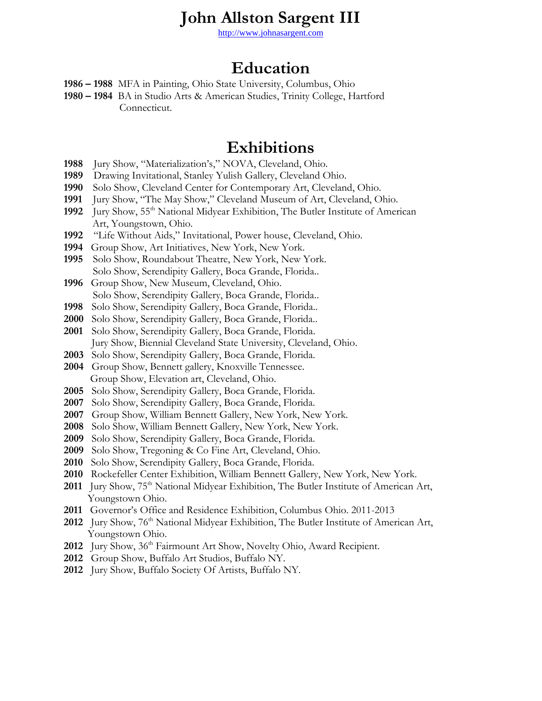## **John Allston Sargent III**

[http://www.johnasargent.com](http://www.johnasargent.com/)

## **Education**

- **– 1988** MFA in Painting, Ohio State University, Columbus, Ohio
- **– 1984** BA in Studio Arts & American Studies, Trinity College, Hartford Connecticut.

#### **Exhibitions**

- Jury Show, "Materialization's," NOVA, Cleveland, Ohio.
- Drawing Invitational, Stanley Yulish Gallery, Cleveland Ohio.
- Solo Show, Cleveland Center for Contemporary Art, Cleveland, Ohio.
- Jury Show, "The May Show," Cleveland Museum of Art, Cleveland, Ohio.
- Jury Show, 55th National Midyear Exhibition, The Butler Institute of American Art, Youngstown, Ohio.
- "Life Without Aids," Invitational, Power house, Cleveland, Ohio.
- Group Show, Art Initiatives, New York, New York.
- Solo Show, Roundabout Theatre, New York, New York. Solo Show, Serendipity Gallery, Boca Grande, Florida..
- Group Show, New Museum, Cleveland, Ohio. Solo Show, Serendipity Gallery, Boca Grande, Florida..
- Solo Show, Serendipity Gallery, Boca Grande, Florida..
- Solo Show, Serendipity Gallery, Boca Grande, Florida..
- Solo Show, Serendipity Gallery, Boca Grande, Florida. Jury Show, Biennial Cleveland State University, Cleveland, Ohio.
- Solo Show, Serendipity Gallery, Boca Grande, Florida.
- Group Show, Bennett gallery, Knoxville Tennessee. Group Show, Elevation art, Cleveland, Ohio.
- Solo Show, Serendipity Gallery, Boca Grande, Florida.
- Solo Show, Serendipity Gallery, Boca Grande, Florida.
- Group Show, William Bennett Gallery, New York, New York.
- Solo Show, William Bennett Gallery, New York, New York.
- Solo Show, Serendipity Gallery, Boca Grande, Florida.
- Solo Show, Tregoning & Co Fine Art, Cleveland, Ohio.
- Solo Show, Serendipity Gallery, Boca Grande, Florida.
- Rockefeller Center Exhibition, William Bennett Gallery, New York, New York.
- 2011 Jury Show, 75<sup>th</sup> National Midyear Exhibition, The Butler Institute of American Art, Youngstown Ohio.
- Governor's Office and Residence Exhibition, Columbus Ohio. 2011-2013
- 2012 Jury Show, 76<sup>th</sup> National Midyear Exhibition, The Butler Institute of American Art, Youngstown Ohio.
- Jury Show, 36th Fairmount Art Show, Novelty Ohio, Award Recipient.
- Group Show, Buffalo Art Studios, Buffalo NY.
- Jury Show, Buffalo Society Of Artists, Buffalo NY.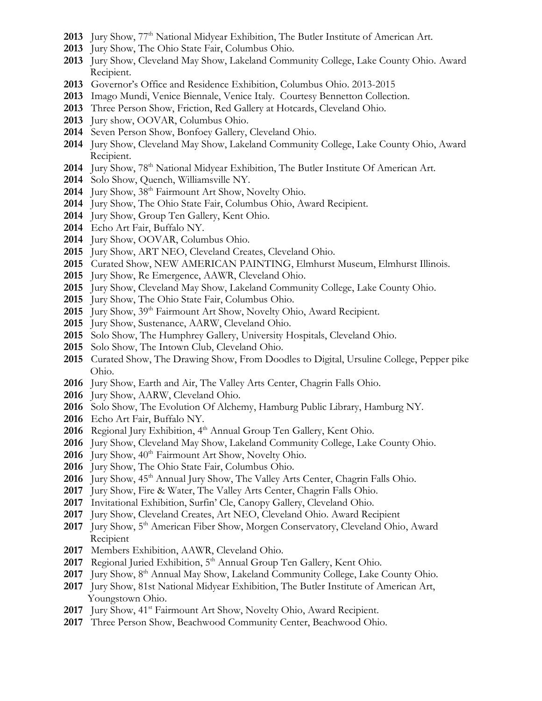- 2013 Jury Show, 77<sup>th</sup> National Midyear Exhibition, The Butler Institute of American Art.
- Jury Show, The Ohio State Fair, Columbus Ohio.
- Jury Show, Cleveland May Show, Lakeland Community College, Lake County Ohio. Award Recipient.
- Governor's Office and Residence Exhibition, Columbus Ohio. 2013-2015
- Imago Mundi, Venice Biennale, Venice Italy. Courtesy Bennetton Collection.
- Three Person Show, Friction, Red Gallery at Hotcards, Cleveland Ohio.
- Jury show, OOVAR, Columbus Ohio.
- Seven Person Show, Bonfoey Gallery, Cleveland Ohio.
- Jury Show, Cleveland May Show, Lakeland Community College, Lake County Ohio, Award Recipient.
- 2014 Jury Show, 78<sup>th</sup> National Midyear Exhibition, The Butler Institute Of American Art.
- Solo Show, Quench, Williamsville NY.
- 2014 Jury Show, 38<sup>th</sup> Fairmount Art Show, Novelty Ohio.
- Jury Show, The Ohio State Fair, Columbus Ohio, Award Recipient.
- Jury Show, Group Ten Gallery, Kent Ohio.
- Echo Art Fair, Buffalo NY.
- Jury Show, OOVAR, Columbus Ohio.
- Jury Show, ART NEO, Cleveland Creates, Cleveland Ohio.
- Curated Show, NEW AMERICAN PAINTING, Elmhurst Museum, Elmhurst Illinois.
- Jury Show, Re Emergence, AAWR, Cleveland Ohio.
- Jury Show, Cleveland May Show, Lakeland Community College, Lake County Ohio.
- Jury Show, The Ohio State Fair, Columbus Ohio.
- 2015 Jury Show, 39<sup>th</sup> Fairmount Art Show, Novelty Ohio, Award Recipient.
- Jury Show, Sustenance, AARW, Cleveland Ohio.
- Solo Show, The Humphrey Gallery, University Hospitals, Cleveland Ohio.
- Solo Show, The Intown Club, Cleveland Ohio.
- Curated Show, The Drawing Show, From Doodles to Digital, Ursuline College, Pepper pike Ohio.
- Jury Show, Earth and Air, The Valley Arts Center, Chagrin Falls Ohio.
- Jury Show, AARW, Cleveland Ohio.
- Solo Show, The Evolution Of Alchemy, Hamburg Public Library, Hamburg NY.
- Echo Art Fair, Buffalo NY.
- 2016 Regional Jury Exhibition, 4<sup>th</sup> Annual Group Ten Gallery, Kent Ohio.
- Jury Show, Cleveland May Show, Lakeland Community College, Lake County Ohio.
- 2016 Jury Show,  $40<sup>th</sup> Fairmount$  Art Show, Novelty Ohio.
- Jury Show, The Ohio State Fair, Columbus Ohio.
- **2016** Jury Show, 45<sup>th</sup> Annual Jury Show, The Valley Arts Center, Chagrin Falls Ohio.
- Jury Show, Fire & Water, The Valley Arts Center, Chagrin Falls Ohio.
- Invitational Exhibition, Surfin' Cle, Canopy Gallery, Cleveland Ohio.
- Jury Show, Cleveland Creates, Art NEO, Cleveland Ohio. Award Recipient
- 2017 Jury Show, 5<sup>th</sup> American Fiber Show, Morgen Conservatory, Cleveland Ohio, Award Recipient
- Members Exhibition, AAWR, Cleveland Ohio.
- 2017 Regional Juried Exhibition, 5<sup>th</sup> Annual Group Ten Gallery, Kent Ohio.
- 2017 Jury Show, 8<sup>th</sup> Annual May Show, Lakeland Community College, Lake County Ohio.
- Jury Show, 81st National Midyear Exhibition, The Butler Institute of American Art, Youngstown Ohio.
- 2017 Jury Show, 41<sup>st</sup> Fairmount Art Show, Novelty Ohio, Award Recipient.
- Three Person Show, Beachwood Community Center, Beachwood Ohio.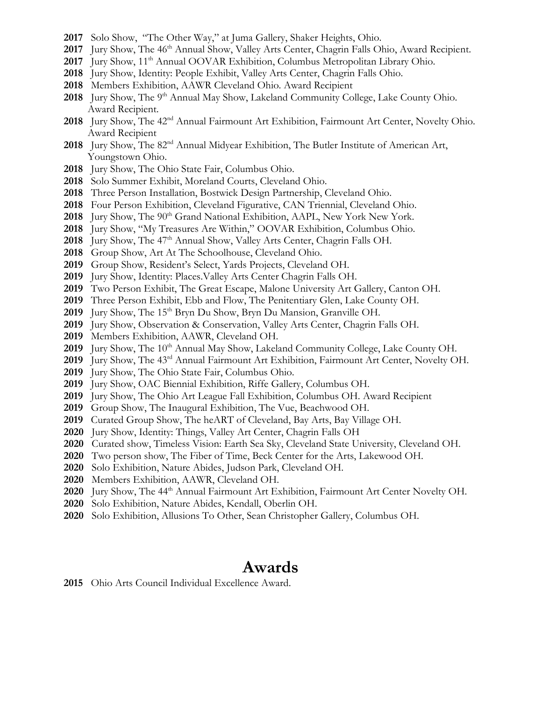- Solo Show, "The Other Way," at Juma Gallery, Shaker Heights, Ohio.
- 2017 Jury Show, The 46<sup>th</sup> Annual Show, Valley Arts Center, Chagrin Falls Ohio, Award Recipient.
- **Jury Show, 11th Annual OOVAR Exhibition, Columbus Metropolitan Library Ohio.**
- Jury Show, Identity: People Exhibit, Valley Arts Center, Chagrin Falls Ohio.
- Members Exhibition, AAWR Cleveland Ohio. Award Recipient
- 2018 Jury Show, The 9<sup>th</sup> Annual May Show, Lakeland Community College, Lake County Ohio. Award Recipient.
- Jury Show, The 42nd Annual Fairmount Art Exhibition, Fairmount Art Center, Novelty Ohio. Award Recipient
- Jury Show, The 82nd Annual Midyear Exhibition, The Butler Institute of American Art, Youngstown Ohio.
- Jury Show, The Ohio State Fair, Columbus Ohio.
- Solo Summer Exhibit, Moreland Courts, Cleveland Ohio.
- Three Person Installation, Bostwick Design Partnership, Cleveland Ohio.
- Four Person Exhibition, Cleveland Figurative, CAN Triennial, Cleveland Ohio.
- **2018** Jury Show, The 90<sup>th</sup> Grand National Exhibition, AAPL, New York New York.
- Jury Show, "My Treasures Are Within," OOVAR Exhibition, Columbus Ohio.
- 2018 Jury Show, The 47<sup>th</sup> Annual Show, Valley Arts Center, Chagrin Falls OH.
- Group Show, Art At The Schoolhouse, Cleveland Ohio.
- Group Show, Resident's Select, Yards Projects, Cleveland OH.
- Jury Show, Identity: Places.Valley Arts Center Chagrin Falls OH.
- Two Person Exhibit, The Great Escape, Malone University Art Gallery, Canton OH.
- Three Person Exhibit, Ebb and Flow, The Penitentiary Glen, Lake County OH.
- 2019 Jury Show, The 15<sup>th</sup> Bryn Du Show, Bryn Du Mansion, Granville OH.
- Jury Show, Observation & Conservation, Valley Arts Center, Chagrin Falls OH.
- Members Exhibition, AAWR, Cleveland OH.
- 2019 Jury Show, The 10<sup>th</sup> Annual May Show, Lakeland Community College, Lake County OH.
- Jury Show, The 43rd Annual Fairmount Art Exhibition, Fairmount Art Center, Novelty OH.
- Jury Show, The Ohio State Fair, Columbus Ohio.
- Jury Show, OAC Biennial Exhibition, Riffe Gallery, Columbus OH.
- Jury Show, The Ohio Art League Fall Exhibition, Columbus OH. Award Recipient
- Group Show, The Inaugural Exhibition, The Vue, Beachwood OH.
- Curated Group Show, The heART of Cleveland, Bay Arts, Bay Village OH.
- Jury Show, Identity: Things, Valley Art Center, Chagrin Falls OH
- Curated show, Timeless Vision: Earth Sea Sky, Cleveland State University, Cleveland OH.
- Two person show, The Fiber of Time, Beck Center for the Arts, Lakewood OH.
- Solo Exhibition, Nature Abides, Judson Park, Cleveland OH.
- Members Exhibition, AAWR, Cleveland OH.
- 2020 Jury Show, The 44<sup>th</sup> Annual Fairmount Art Exhibition, Fairmount Art Center Novelty OH.
- Solo Exhibition, Nature Abides, Kendall, Oberlin OH.
- Solo Exhibition, Allusions To Other, Sean Christopher Gallery, Columbus OH.

## **Awards**

Ohio Arts Council Individual Excellence Award.